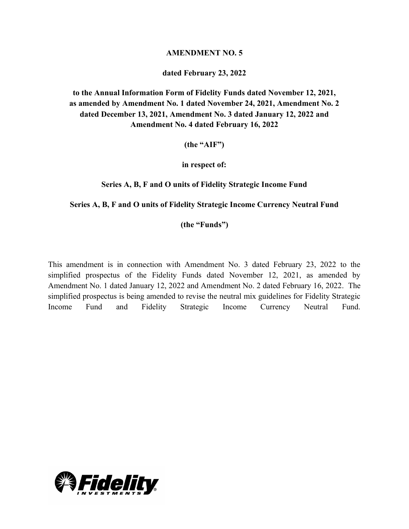## **AMENDMENT NO. 5**

## **dated February 23, 2022**

**to the Annual Information Form of Fidelity Funds dated November 12, 2021, as amended by Amendment No. 1 dated November 24, 2021, Amendment No. 2 dated December 13, 2021, Amendment No. 3 dated January 12, 2022 and Amendment No. 4 dated February 16, 2022**

**(the "AIF")**

**in respect of:**

**Series A, B, F and O units of Fidelity Strategic Income Fund**

#### **Series A, B, F and O units of Fidelity Strategic Income Currency Neutral Fund**

**(the "Funds")**

This amendment is in connection with Amendment No. 3 dated February 23, 2022 to the simplified prospectus of the Fidelity Funds dated November 12, 2021, as amended by Amendment No. 1 dated January 12, 2022 and Amendment No. 2 dated February 16, 2022. The simplified prospectus is being amended to revise the neutral mix guidelines for Fidelity Strategic Income Fund and Fidelity Strategic Income Currency Neutral Fund.